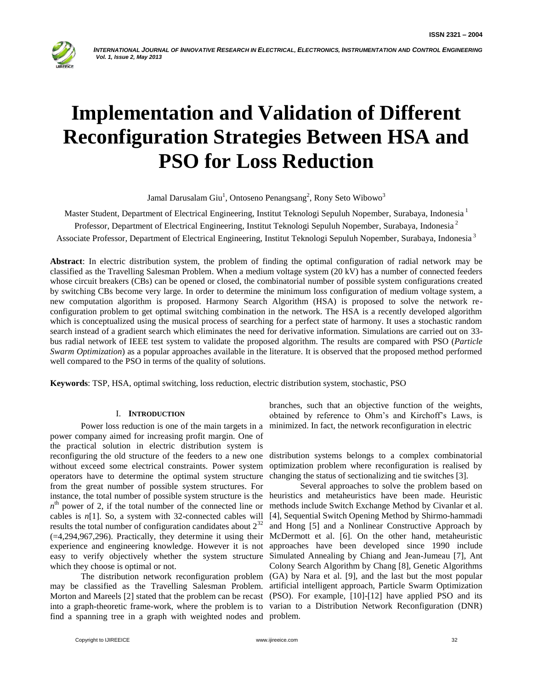

# **Implementation and Validation of Different Reconfiguration Strategies Between HSA and PSO for Loss Reduction**

Jamal Darusalam Giu<sup>1</sup>, Ontoseno Penangsang<sup>2</sup>, Rony Seto Wibowo<sup>3</sup>

Master Student, Department of Electrical Engineering, Institut Teknologi Sepuluh Nopember, Surabaya, Indonesia <sup>1</sup> Professor, Department of Electrical Engineering, Institut Teknologi Sepuluh Nopember, Surabaya, Indonesia <sup>2</sup> Associate Professor, Department of Electrical Engineering, Institut Teknologi Sepuluh Nopember, Surabaya, Indonesia <sup>3</sup>

**Abstract**: In electric distribution system, the problem of finding the optimal configuration of radial network may be classified as the Travelling Salesman Problem. When a medium voltage system (20 kV) has a number of connected feeders whose circuit breakers (CBs) can be opened or closed, the combinatorial number of possible system configurations created by switching CBs become very large. In order to determine the minimum loss configuration of medium voltage system, a new computation algorithm is proposed. Harmony Search Algorithm (HSA) is proposed to solve the network reconfiguration problem to get optimal switching combination in the network. The HSA is a recently developed algorithm which is conceptualized using the musical process of searching for a perfect state of harmony. It uses a stochastic random search instead of a gradient search which eliminates the need for derivative information. Simulations are carried out on 33 bus radial network of IEEE test system to validate the proposed algorithm. The results are compared with PSO (*Particle Swarm Optimization*) as a popular approaches available in the literature. It is observed that the proposed method performed well compared to the PSO in terms of the quality of solutions.

**Keywords**: TSP, HSA, optimal switching, loss reduction, electric distribution system, stochastic, PSO

# I. **INTRODUCTION**

Power loss reduction is one of the main targets in a power company aimed for increasing profit margin. One of the practical solution in electric distribution system is reconfiguring the old structure of the feeders to a new one without exceed some electrical constraints. Power system operators have to determine the optimal system structure from the great number of possible system structures. For instance, the total number of possible system structure is the  $n<sup>th</sup>$  power of 2, if the total number of the connected line or cables is *n*[1]. So, a system with 32-connected cables will results the total number of configuration candidates about  $2^{32}$ (=4,294,967,296). Practically, they determine it using their experience and engineering knowledge. However it is not easy to verify objectively whether the system structure which they choose is optimal or not.

may be classified as the Travelling Salesman Problem. artificial intelligent approach, Particle Swarm Optimization Morton and Mareels [2] stated that the problem can be recast (PSO). For example, [10]-[12] have applied PSO and its into a graph-theoretic frame-work, where the problem is to varian to a Distribution Network Reconfiguration (DNR) find a spanning tree in a graph with weighted nodes and problem.

branches, such that an objective function of the weights, obtained by reference to Ohm"s and Kirchoff"s Laws, is minimized. In fact, the network reconfiguration in electric

distribution systems belongs to a complex combinatorial optimization problem where reconfiguration is realised by changing the status of sectionalizing and tie switches [3].

The distribution network reconfiguration problem (GA) by Nara et al. [9], and the last but the most popular Several approaches to solve the problem based on heuristics and metaheuristics have been made. Heuristic methods include Switch Exchange Method by Civanlar et al. [4], Sequential Switch Opening Method by Shirmo-hammadi and Hong [5] and a Nonlinear Constructive Approach by McDermott et al. [6]. On the other hand, metaheuristic approaches have been developed since 1990 include Simulated Annealing by Chiang and Jean-Jumeau [7], Ant Colony Search Algorithm by Chang [8], Genetic Algorithms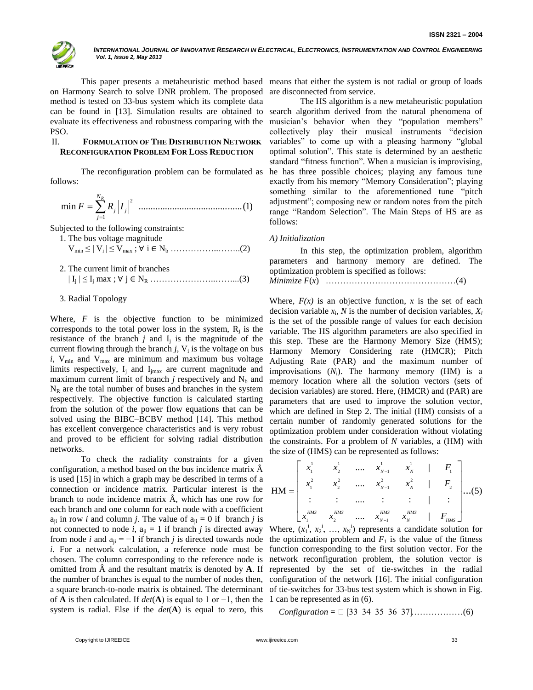

on Harmony Search to solve DNR problem. The proposed method is tested on 33-bus system which its complete data can be found in [13]. Simulation results are obtained to PSO.

# II. **FORMULATION OF THE DISTRIBUTION NETWORK RECONFIGURATION PROBLEM FOR LOSS REDUCTION**

The reconfiguration problem can be formulated as follows:

2 1 min ...........................................(1) *R j j N j F R I* 

Subjected to the following constraints:

1. The bus voltage magnitude Vmin ≤ | Vi | ≤ Vmax ; ∀ i ∈ N<sup>b</sup> ……………..……..(2)

2. The current limit of branches  $|I_j| \leq I_j$  max ;  $\forall j \in N_R$  … … … … … … … … ... ... ... (3)

## 3. Radial Topology

Where, *F* is the objective function to be minimized corresponds to the total power loss in the system,  $R_j$  is the resistance of the branch  $j$  and  $I_j$  is the magnitude of the current flowing through the branch  $j$ ,  $V_i$  is the voltage on bus  $i$ ,  $V_{min}$  and  $V_{max}$  are minimum and maximum bus voltage limits respectively,  $I_i$  and  $I_{imax}$  are current magnitude and maximum current limit of branch  $j$  respectively and  $N_b$  and  $N_R$  are the total number of buses and branches in the system respectively. The objective function is calculated starting from the solution of the power flow equations that can be solved using the BIBC–BCBV method [14]. This method has excellent convergence characteristics and is very robust and proved to be efficient for solving radial distribution networks.

To check the radiality constraints for a given configuration, a method based on the bus incidence matrix  $\hat{A}$ is used [15] in which a graph may be described in terms of a connection or incidence matrix. Particular interest is the branch to node incidence matrix  $\hat{A}$ , which has one row for each branch and one column for each node with a coefficient  $a_{ii}$  in row *i* and column *j*. The value of  $a_{ii} = 0$  if branch *j* is not connected to node *i*,  $a_{ji} = 1$  if branch *j* is directed away Where,  $(x_1^i, x_2^i, ..., x_N^i)$  represents a candidate solution for *i*. For a network calculation, a reference node must be chosen. The column corresponding to the reference node is omitted from  $\hat{A}$  and the resultant matrix is denoted by  $A$ . If the number of branches is equal to the number of nodes then, a square branch-to-node matrix is obtained. The determinant of **A** is then calculated. If *det*(**A**) is equal to 1 or −1, then the system is radial. Else if the *det*(**A**) is equal to zero, this

This paper presents a metaheuristic method based means that either the system is not radial or group of loads are disconnected from service.

evaluate its effectiveness and robustness comparing with the musician"s behavior when they "population members" The HS algorithm is a new metaheuristic population search algorithm derived from the natural phenomena of collectively play their musical instruments "decision variables" to come up with a pleasing harmony "global optimal solution". This state is determined by an aesthetic standard "fitness function". When a musician is improvising, he has three possible choices; playing any famous tune exactly from his memory "Memory Consideration"; playing something similar to the aforementioned tune "pitch adjustment"; composing new or random notes from the pitch range "Random Selection". The Main Steps of HS are as follows:

## *A) Initialization*

In this step, the optimization problem, algorithm parameters and harmony memory are defined. The optimization problem is specified as follows: *Minimize F*(*x*) ………………………………………(4)

Where,  $F(x)$  is an objective function, x is the set of each decision variable  $x_i$ ,  $N$  is the number of decision variables,  $X_i$ is the set of the possible range of values for each decision variable. The HS algorithm parameters are also specified in this step. These are the Harmony Memory Size (HMS); Harmony Memory Considering rate (HMCR); Pitch Adjusting Rate (PAR) and the maximum number of improvisations  $(N_i)$ . The harmony memory  $(HM)$  is a memory location where all the solution vectors (sets of decision variables) are stored. Here, (HMCR) and (PAR) are parameters that are used to improve the solution vector, which are defined in Step 2. The initial (HM) consists of a certain number of randomly generated solutions for the optimization problem under consideration without violating the constraints. For a problem of *N* variables, a (HM) with

the six terms of the size of (HMS) can be represented as follows:  
\n
$$
HM = \begin{bmatrix}\nx_1^1 & x_2^1 & \dots & x_{N-1}^1 & x_N^1 & F_1 \\
x_1^2 & x_2^2 & \dots & x_{N-1}^2 & x_N^2 & F_2 \\
\vdots & \vdots & \dots & \vdots & \vdots & \vdots \\
x_1^{HMS} & x_2^{HMS} & \dots & x_{N-1}^{HMS} & x_N^{HMS} & F_{HMS}\n\end{bmatrix}
$$
\n
$$
x_1^{HMS} = \begin{bmatrix}\nx_1^1 & x_2^1 & \dots & x_{N-1}^2 & x_N^2 & F_2 \\
\vdots & \vdots & \vdots & \vdots & \vdots & \vdots \\
x_1^{HMS} & x_2^{HMS} & \dots & x_{N-1}^{HMS} & x_N^{HMS} & F_{HMS}\n\end{bmatrix}
$$

from node *i* and  $a_{ji} = -1$  if branch *j* is directed towards node the optimization problem and  $F_1$  is the value of the fitness function corresponding to the first solution vector. For the network reconfiguration problem, the solution vector is represented by the set of tie-switches in the radial configuration of the network [16]. The initial configuration of tie-switches for 33-bus test system which is shown in Fig. 1 can be represented as in (6).

*Configuration* = [33 34 35 36 37]………………(6)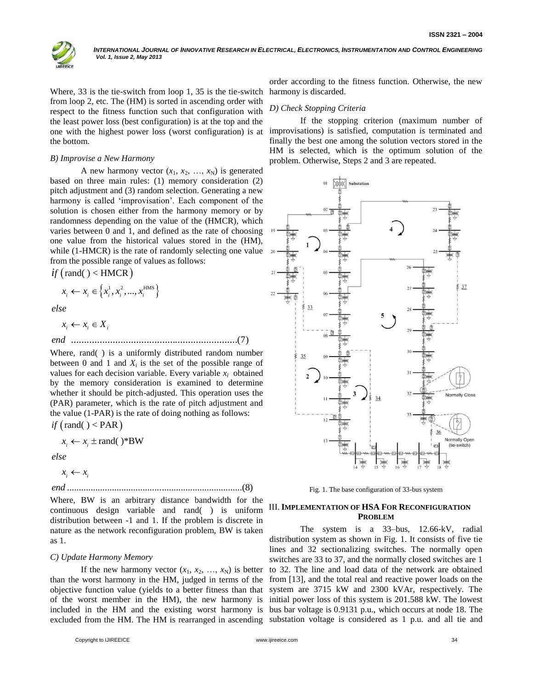

Where, 33 is the tie-switch from loop 1, 35 is the tie-switch from loop 2, etc. The (HM) is sorted in ascending order with respect to the fitness function such that configuration with the least power loss (best configuration) is at the top and the one with the highest power loss (worst configuration) is at the bottom.

#### *B) Improvise a New Harmony*

A new harmony vector  $(x_1, x_2, ..., x_N)$  is generated based on three main rules: (1) memory consideration (2) pitch adjustment and (3) random selection. Generating a new harmony is called "improvisation". Each component of the solution is chosen either from the harmony memory or by randomness depending on the value of the (HMCR), which varies between 0 and 1, and defined as the rate of choosing one value from the historical values stored in the (HM), while (1-HMCR) is the rate of randomly selecting one value from the possible range of values as follows:

$$
if \text{ (rand()} < \text{HMCR} \text{)} \\
 x_i \leftarrow x_i \in \left\{ x_i^1, x_i^2, ..., x_i^{\text{HMS}} \right\}
$$

*else*

................................................................(7) *end*  $x_i \leftarrow x_i \in X_i$ 

Where, rand( ) is a uniformly distributed random number between 0 and 1 and  $X_i$  is the set of the possible range of values for each decision variable. Every variable  $x_i$  obtained by the memory consideration is examined to determine whether it should be pitch-adjusted. This operation uses the (PAR) parameter, which is the rate of pitch adjustment and the value (1-PAR) is the rate of doing nothing as follows:

*if*  $\text{(rand()} < \text{PAR)}$ <br>  $x_i \leftarrow x_i \pm \text{rand()}$ 

$$
x_i \leftarrow x_i \pm \text{rand}()
$$
\*BW

*else*

$$
lse
$$

$$
x_i \leftarrow x_i
$$

..........................................................................(8) *end*

Where, BW is an arbitrary distance bandwidth for the continuous design variable and rand( ) is uniform distribution between -1 and 1. If the problem is discrete in nature as the network reconfiguration problem, BW is taken as 1.

## *C) Update Harmony Memory*

If the new harmony vector  $(x_1, x_2, ..., x_N)$  is better than the worst harmony in the HM, judged in terms of the objective function value (yields to a better fitness than that excluded from the HM. The HM is rearranged in ascending substation voltage is considered as 1 p.u. and all tie and

order according to the fitness function. Otherwise, the new harmony is discarded.

## *D) Check Stopping Criteria*

If the stopping criterion (maximum number of improvisations) is satisfied, computation is terminated and finally the best one among the solution vectors stored in the HM is selected, which is the optimum solution of the problem. Otherwise, Steps 2 and 3 are repeated.



Fig. 1. The base configuration of 33-bus system

# III.**IMPLEMENTATION OF HSA FOR RECONFIGURATION PROBLEM**

of the worst member in the HM), the new harmony is initial power loss of this system is 201.588 kW. The lowest included in the HM and the existing worst harmony is bus bar voltage is 0.9131 p.u., which occurs at node 18. The The system is a 33–bus, 12.66-kV, radial distribution system as shown in Fig. 1. It consists of five tie lines and 32 sectionalizing switches. The normally open switches are 33 to 37, and the normally closed switches are 1 to 32. The line and load data of the network are obtained from [13], and the total real and reactive power loads on the system are 3715 kW and 2300 kVAr, respectively. The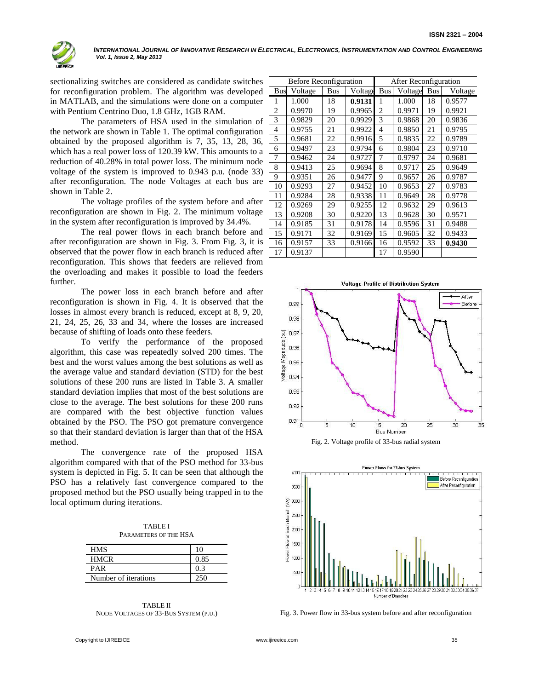

sectionalizing switches are considered as candidate switches for reconfiguration problem. The algorithm was developed in MATLAB, and the simulations were done on a computer with Pentium Centrino Duo, 1.8 GHz, 1GB RAM.

The parameters of HSA used in the simulation of the network are shown in Table 1. The optimal configuration obtained by the proposed algorithm is 7, 35, 13, 28, 36, which has a real power loss of 120.39 kW. This amounts to a reduction of 40.28% in total power loss. The minimum node voltage of the system is improved to 0.943 p.u. (node 33) after reconfiguration. The node Voltages at each bus are shown in Table 2.

The voltage profiles of the system before and after reconfiguration are shown in Fig. 2. The minimum voltage in the system after reconfiguration is improved by 34.4%.

The real power flows in each branch before and after reconfiguration are shown in Fig. 3. From Fig. 3, it is observed that the power flow in each branch is reduced after reconfiguration. This shows that feeders are relieved from the overloading and makes it possible to load the feeders further.

The power loss in each branch before and after reconfiguration is shown in Fig. 4. It is observed that the losses in almost every branch is reduced, except at 8, 9, 20, 21, 24, 25, 26, 33 and 34, where the losses are increased because of shifting of loads onto these feeders.

To verify the performance of the proposed algorithm, this case was repeatedly solved 200 times. The best and the worst values among the best solutions as well as the average value and standard deviation (STD) for the best solutions of these 200 runs are listed in Table 3. A smaller standard deviation implies that most of the best solutions are close to the average. The best solutions for these 200 runs are compared with the best objective function values obtained by the PSO. The PSO got premature convergence so that their standard deviation is larger than that of the HSA method.

The convergence rate of the proposed HSA algorithm compared with that of the PSO method for 33-bus system is depicted in Fig. 5. It can be seen that although the PSO has a relatively fast convergence compared to the proposed method but the PSO usually being trapped in to the local optimum during iterations.

| <b>TABLE I</b>        |
|-----------------------|
| PARAMETERS OF THE HSA |

| HMS                  | 10   |
|----------------------|------|
| <b>HMCR</b>          | 0.85 |
| PAR                  |      |
| Number of iterations |      |



| <b>Before Reconfiguration</b> |         |            | After Reconfiguration |                |         |            |         |
|-------------------------------|---------|------------|-----------------------|----------------|---------|------------|---------|
| <b>Bus</b>                    | Voltage | <b>Bus</b> | Voltage               | <b>Bus</b>     | Voltage | <b>Bus</b> | Voltage |
| $\mathbf{1}$                  | 1.000   | 18         | 0.9131                | 1              | 1.000   | 18         | 0.9577  |
| $\overline{2}$                | 0.9970  | 19         | 0.9965                | $\overline{c}$ | 0.9971  | 19         | 0.9921  |
| 3                             | 0.9829  | 20         | 0.9929                | 3              | 0.9868  | 20         | 0.9836  |
| $\overline{4}$                | 0.9755  | 21         | 0.9922                | $\overline{4}$ | 0.9850  | 21         | 0.9795  |
| 5                             | 0.9681  | 22         | 0.9916                | 5              | 0.9835  | 22         | 0.9789  |
| 6                             | 0.9497  | 23         | 0.9794                | 6              | 0.9804  | 23         | 0.9710  |
| 7                             | 0.9462  | 24         | 0.9727                | 7              | 0.9797  | 24         | 0.9681  |
| 8                             | 0.9413  | 25         | 0.9694                | 8              | 0.9717  | 25         | 0.9649  |
| 9                             | 0.9351  | 26         | 0.9477                | 9              | 0.9657  | 26         | 0.9787  |
| 10                            | 0.9293  | 27         | 0.9452                | 10             | 0.9653  | 27         | 0.9783  |
| 11                            | 0.9284  | 28         | 0.9338                | 11             | 0.9649  | 28         | 0.9778  |
| 12                            | 0.9269  | 29         | 0.9255                | 12             | 0.9632  | 29         | 0.9613  |
| 13                            | 0.9208  | 30         | 0.9220                | 13             | 0.9628  | 30         | 0.9571  |
| 14                            | 0.9185  | 31         | 0.9178                | 14             | 0.9596  | 31         | 0.9488  |
| 15                            | 0.9171  | 32         | 0.9169                | 15             | 0.9605  | 32         | 0.9433  |
| 16                            | 0.9157  | 33         | 0.9166                | 16             | 0.9592  | 33         | 0.9430  |
| 17                            | 0.9137  |            |                       | 17             | 0.9590  |            |         |







Fig. 3. Power flow in 33-bus system before and after reconfiguration

Copyright to IJIREEICE [www.ijireeice.com](http://www.ijireeice.com/) 35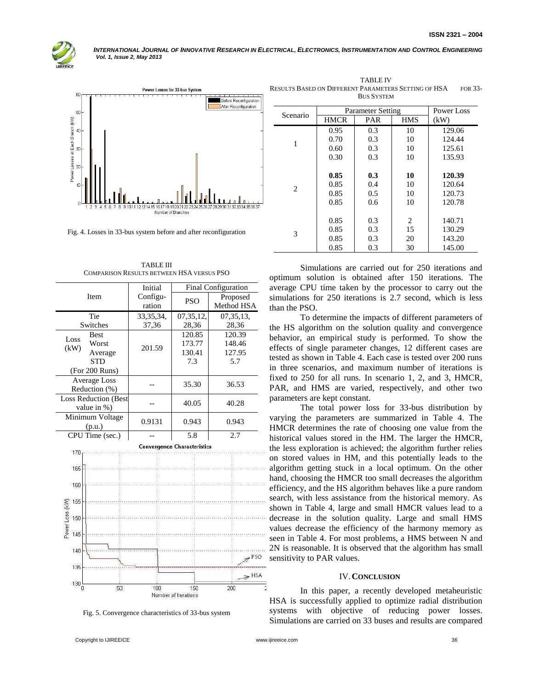



Fig. 4. Losses in 33-bus system before and after reconfiguration

TABLE III COMPARISON RESULTS BETWEEN HSA VERSUS PSO

|                             | Initial<br>Final Configuration |                                    |             |  |
|-----------------------------|--------------------------------|------------------------------------|-------------|--|
| Item                        | Configu-                       | <b>PSO</b>                         | Proposed    |  |
|                             | ration                         |                                    | Method HSA  |  |
| Tie                         | 33, 35, 34,                    | 07, 35, 12,                        | 07, 35, 13, |  |
| Switches                    | 37,36                          | 28,36                              | 28,36       |  |
| <b>Best</b><br>Loss         |                                | 120.85                             | 120.39      |  |
| Worst<br>(kW)               | 201.59                         | 173.77                             | 148.46      |  |
| Average                     |                                | 130.41                             | 127.95      |  |
| <b>STD</b>                  |                                | 7.3                                | 5.7         |  |
| (For 200 Runs)              |                                |                                    |             |  |
| <b>Average Loss</b>         |                                | 35.30                              | 36.53       |  |
| Reduction (%)               |                                |                                    |             |  |
| <b>Loss Reduction (Best</b> |                                | 40.05                              | 40.28       |  |
| value in %)                 |                                |                                    |             |  |
| Minimum Voltage             | 0.9131                         | 0.943                              | 0.943       |  |
| (p.u.)                      |                                |                                    |             |  |
| CPU Time (sec.)             |                                | 5.8                                | 2.7         |  |
|                             |                                | <b>Convergence Characteristics</b> |             |  |
| 170                         |                                |                                    |             |  |
| 165                         |                                |                                    |             |  |
|                             |                                |                                    |             |  |
| 160                         |                                |                                    |             |  |
|                             |                                |                                    |             |  |
| 155                         |                                |                                    |             |  |
| 150                         |                                |                                    |             |  |
|                             |                                |                                    |             |  |
| Power Loss (kW)<br>145      |                                |                                    |             |  |
|                             |                                |                                    |             |  |
| 140                         |                                |                                    | $7^{PSO}$   |  |
| 4.7F                        |                                |                                    |             |  |

Fig. 5. Convergence characteristics of 33-bus system

 $100$ 

Number of Iterations

150

| Scenario | Parameter Setting | Power Loss |            |        |  |  |
|----------|-------------------|------------|------------|--------|--|--|
|          | HMCR              | PAR        | <b>HMS</b> | (kW)   |  |  |
| 1        | 0.95              | 0.3        | 10         | 129.06 |  |  |
|          | 0.70              | 0.3        | 10         | 124.44 |  |  |
|          | 0.60              | 0.3        | 10         | 125.61 |  |  |
|          | 0.30              | 0.3        | 10         | 135.93 |  |  |
|          |                   |            |            |        |  |  |
| 2        | 0.85              | 0.3        | 10         | 120.39 |  |  |
|          | 0.85              | 0.4        | 10         | 120.64 |  |  |
|          | 0.85              | 0.5        | 10         | 120.73 |  |  |
|          | 0.85              | 0.6        | 10         | 120.78 |  |  |
|          |                   |            |            |        |  |  |
| 3        | 0.85              | 0.3        | 2          | 140.71 |  |  |
|          | 0.85              | 0.3        | 15         | 130.29 |  |  |
|          | 0.85              | 0.3        | 20         | 143.20 |  |  |
|          | 0.85              | 0.3        | 30         | 145.00 |  |  |

TABLE IV

**BUS SYSTEM** 

Simulations are carried out for 250 iterations and optimum solution is obtained after 150 iterations. The average CPU time taken by the processor to carry out the simulations for 250 iterations is 2.7 second, which is less than the PSO.

To determine the impacts of different parameters of the HS algorithm on the solution quality and convergence behavior, an empirical study is performed. To show the effects of single parameter changes, 12 different cases are tested as shown in Table 4. Each case is tested over 200 runs in three scenarios, and maximum number of iterations is fixed to 250 for all runs. In scenario 1, 2, and 3, HMCR, PAR, and HMS are varied, respectively, and other two parameters are kept constant.

The total power loss for 33-bus distribution by varying the parameters are summarized in Table 4. The HMCR determines the rate of choosing one value from the historical values stored in the HM. The larger the HMCR, the less exploration is achieved; the algorithm further relies on stored values in HM, and this potentially leads to the algorithm getting stuck in a local optimum. On the other hand, choosing the HMCR too small decreases the algorithm efficiency, and the HS algorithm behaves like a pure random search, with less assistance from the historical memory. As shown in Table 4, large and small HMCR values lead to a decrease in the solution quality. Large and small HMS values decrease the efficiency of the harmony memory as seen in Table 4. For most problems, a HMS between N and 2N is reasonable. It is observed that the algorithm has small sensitivity to PAR values.

#### IV.**CONCLUSION**

In this paper, a recently developed metaheuristic HSA is successfully applied to optimize radial distribution systems with objective of reducing power losses. Simulations are carried on 33 buses and results are compared

 $50$ 

130

 $\Rightarrow$  HSA

 $200$